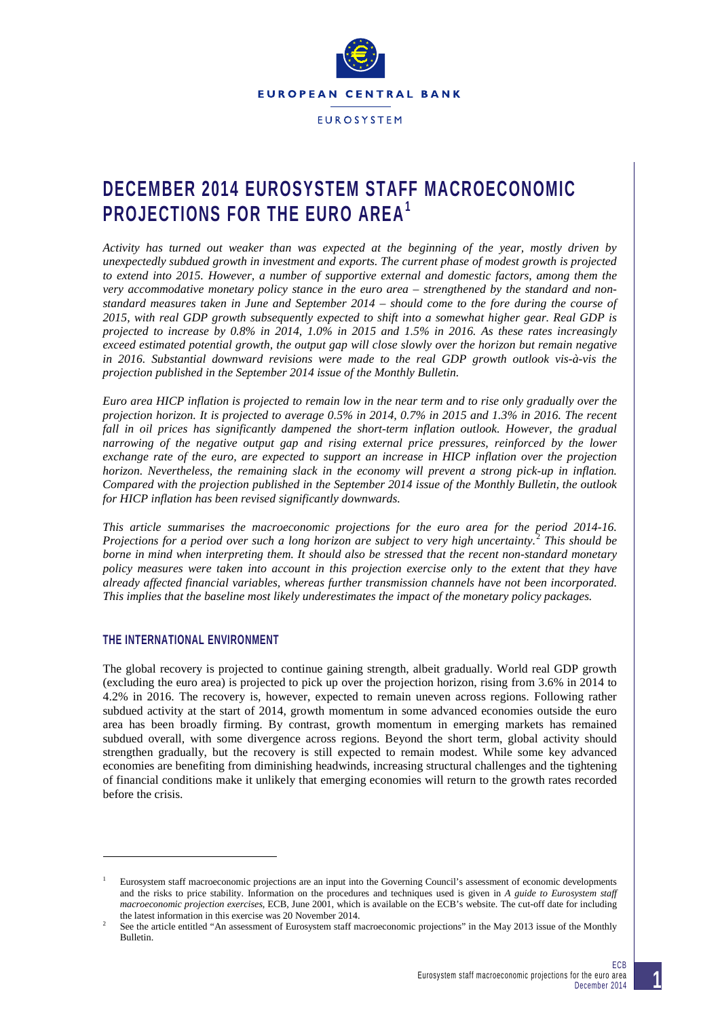

**FUROSYSTEM** 

# **DECEMBER 2014 EUROSYSTEM STAFF MACROECONOMIC PROJECTIONS FOR THE EURO AREA[1](#page-0-0)**

*Activity has turned out weaker than was expected at the beginning of the year, mostly driven by unexpectedly subdued growth in investment and exports. The current phase of modest growth is projected to extend into 2015. However, a number of supportive external and domestic factors, among them the very accommodative monetary policy stance in the euro area – strengthened by the standard and nonstandard measures taken in June and September 2014 – should come to the fore during the course of 2015, with real GDP growth subsequently expected to shift into a somewhat higher gear. Real GDP is projected to increase by 0.8% in 2014, 1.0% in 2015 and 1.5% in 2016. As these rates increasingly exceed estimated potential growth, the output gap will close slowly over the horizon but remain negative in 2016. Substantial downward revisions were made to the real GDP growth outlook vis-à-vis the projection published in the September 2014 issue of the Monthly Bulletin.* 

*Euro area HICP inflation is projected to remain low in the near term and to rise only gradually over the projection horizon. It is projected to average 0.5% in 2014, 0.7% in 2015 and 1.3% in 2016. The recent fall in oil prices has significantly dampened the short-term inflation outlook. However, the gradual narrowing of the negative output gap and rising external price pressures, reinforced by the lower exchange rate of the euro, are expected to support an increase in HICP inflation over the projection horizon. Nevertheless, the remaining slack in the economy will prevent a strong pick-up in inflation. Compared with the projection published in the September 2014 issue of the Monthly Bulletin, the outlook for HICP inflation has been revised significantly downwards.*

*This article summarises the macroeconomic projections for the euro area for the period 2014-16. Projections for a period over such a long horizon are subject to very high uncertainty.*[2](#page-0-1) *This should be borne in mind when interpreting them. It should also be stressed that the recent non-standard monetary policy measures were taken into account in this projection exercise only to the extent that they have already affected financial variables, whereas further transmission channels have not been incorporated. This implies that the baseline most likely underestimates the impact of the monetary policy packages.*

# **THE INTERNATIONAL ENVIRONMENT**

-

The global recovery is projected to continue gaining strength, albeit gradually. World real GDP growth (excluding the euro area) is projected to pick up over the projection horizon, rising from 3.6% in 2014 to 4.2% in 2016. The recovery is, however, expected to remain uneven across regions. Following rather subdued activity at the start of 2014, growth momentum in some advanced economies outside the euro area has been broadly firming. By contrast, growth momentum in emerging markets has remained subdued overall, with some divergence across regions. Beyond the short term, global activity should strengthen gradually, but the recovery is still expected to remain modest. While some key advanced economies are benefiting from diminishing headwinds, increasing structural challenges and the tightening of financial conditions make it unlikely that emerging economies will return to the growth rates recorded before the crisis.

<span id="page-0-0"></span><sup>1</sup> Eurosystem staff macroeconomic projections are an input into the Governing Council's assessment of economic developments and the risks to price stability. Information on the procedures and techniques used is given in *A guide to Eurosystem staff macroeconomic projection exercises*, ECB, June 2001, which is available on the ECB's website. The cut-off date for including the latest information in this exercise was 20 November 2014.

<span id="page-0-1"></span> $\overline{2}$  See the article entitled "An assessment of Eurosystem staff macroeconomic projections" in the May 2013 issue of the Monthly Bulletin.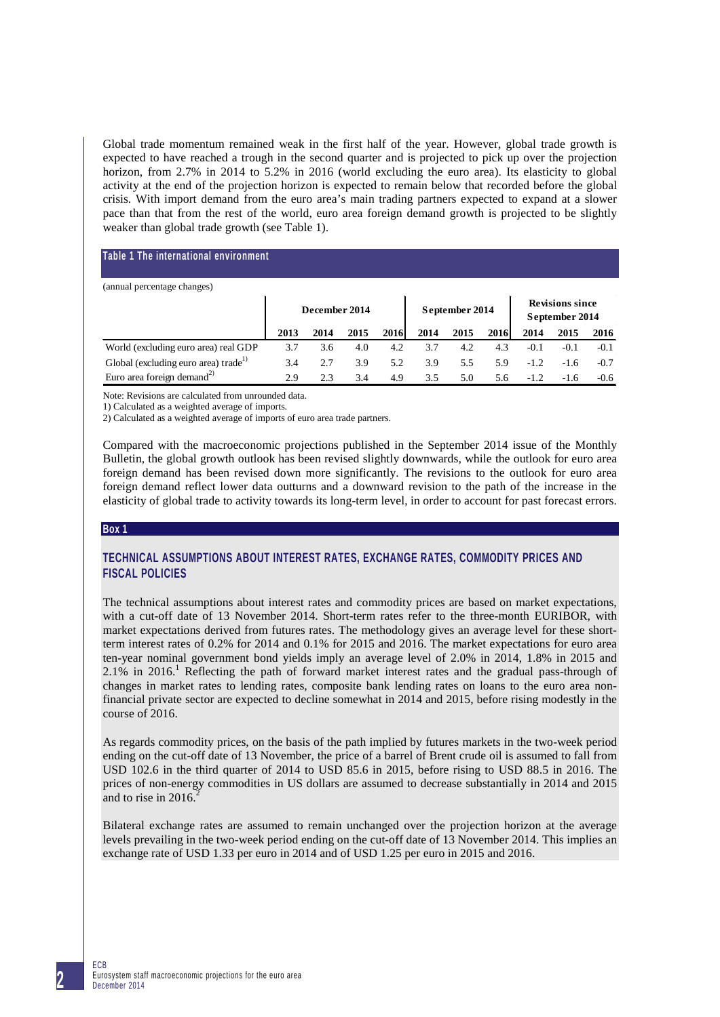Global trade momentum remained weak in the first half of the year. However, global trade growth is expected to have reached a trough in the second quarter and is projected to pick up over the projection horizon, from 2.7% in 2014 to 5.2% in 2016 (world excluding the euro area). Its elasticity to global activity at the end of the projection horizon is expected to remain below that recorded before the global crisis. With import demand from the euro area's main trading partners expected to expand at a slower pace than that from the rest of the world, euro area foreign demand growth is projected to be slightly weaker than global trade growth (see Table 1).

## **Table 1 The international environment**

| (annual percentage changes)                      |               |      |      |                |      |      |                                          |        |        |        |
|--------------------------------------------------|---------------|------|------|----------------|------|------|------------------------------------------|--------|--------|--------|
|                                                  | December 2014 |      |      | September 2014 |      |      | <b>Revisions since</b><br>September 2014 |        |        |        |
|                                                  | 2013          | 2014 | 2015 | 2016           | 2014 | 2015 | 2016                                     | 2014   | 2015   | 2016   |
| World (excluding euro area) real GDP             | 3.7           | 3.6  | 4.0  | 4.2            | 3.7  | 4.2  | 4.3                                      | $-0.1$ | $-0.1$ | $-0.1$ |
| Global (excluding euro area) trade <sup>1)</sup> | 3.4           | 2.7  | 3.9  | 5.2            | 3.9  | 5.5  | 5.9                                      | $-1.2$ | $-1.6$ | $-0.7$ |
| Euro area foreign demand <sup>2)</sup>           | 2.9           | 2.3  | 3.4  | 4.9            | 3.5  | 5.0  | 5.6                                      | $-1.2$ | $-1.6$ | $-0.6$ |

Note: Revisions are calculated from unrounded data.

1) Calculated as a weighted average of imports.

2) Calculated as a weighted average of imports of euro area trade partners.

Compared with the macroeconomic projections published in the September 2014 issue of the Monthly Bulletin, the global growth outlook has been revised slightly downwards, while the outlook for euro area foreign demand has been revised down more significantly. The revisions to the outlook for euro area foreign demand reflect lower data outturns and a downward revision to the path of the increase in the elasticity of global trade to activity towards its long-term level, in order to account for past forecast errors.

#### **Box 1**

# **TECHNICAL ASSUMPTIONS ABOUT INTEREST RATES, EXCHANGE RATES, COMMODITY PRICES AND FISCAL POLICIES**

The technical assumptions about interest rates and commodity prices are based on market expectations, with a cut-off date of 13 November 2014. Short-term rates refer to the three-month EURIBOR, with market expectations derived from futures rates. The methodology gives an average level for these shortterm interest rates of 0.2% for 2014 and 0.1% for 2015 and 2016. The market expectations for euro area ten-year nominal government bond yields imply an average level of 2.0% in 2014, 1.8% in 2015 and 2.1% in 2016. <sup>1</sup> Reflecting the path of forward market interest rates and the gradual pass-through of changes in market rates to lending rates, composite bank lending rates on loans to the euro area nonfinancial private sector are expected to decline somewhat in 2014 and 2015, before rising modestly in the course of 2016.

As regards commodity prices, on the basis of the path implied by futures markets in the two-week period ending on the cut-off date of 13 November, the price of a barrel of Brent crude oil is assumed to fall from USD 102.6 in the third quarter of 2014 to USD 85.6 in 2015, before rising to USD 88.5 in 2016. The prices of non-energy commodities in US dollars are assumed to decrease substantially in 2014 and 2015 and to rise in 2016.<sup>2</sup>

Bilateral exchange rates are assumed to remain unchanged over the projection horizon at the average levels prevailing in the two-week period ending on the cut-off date of 13 November 2014. This implies an exchange rate of USD 1.33 per euro in 2014 and of USD 1.25 per euro in 2015 and 2016.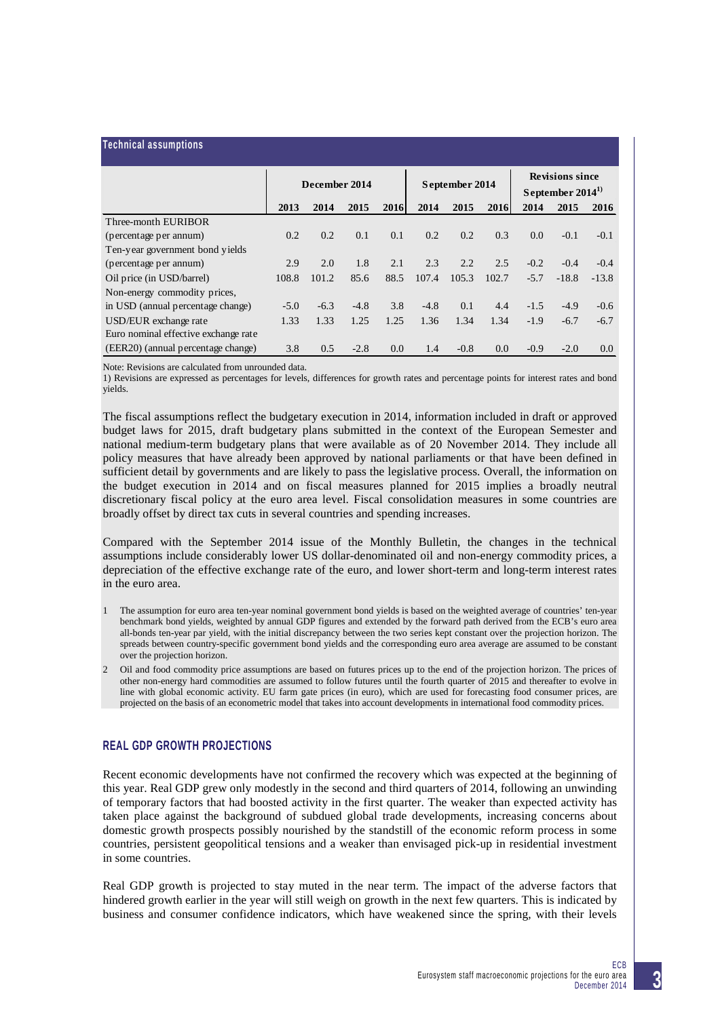| <b>Technical assumptions</b>         |               |        |        |                |        |        |                                             |        |         |         |
|--------------------------------------|---------------|--------|--------|----------------|--------|--------|---------------------------------------------|--------|---------|---------|
|                                      | December 2014 |        |        | September 2014 |        |        | <b>Revisions since</b><br>September $20141$ |        |         |         |
|                                      | 2013          | 2014   | 2015   | 2016           | 2014   | 2015   | 2016                                        | 2014   | 2015    | 2016    |
| Three-month EURIBOR                  |               |        |        |                |        |        |                                             |        |         |         |
| (percentage per annum)               | 0.2           | 0.2    | 0.1    | 0.1            | 0.2    | 0.2    | 0.3                                         | 0.0    | $-0.1$  | $-0.1$  |
| Ten-year government bond yields      |               |        |        |                |        |        |                                             |        |         |         |
| (percentage per annum)               | 2.9           | 2.0    | 1.8    | 2.1            | 2.3    | 2.2    | 2.5                                         | $-0.2$ | $-0.4$  | $-0.4$  |
| Oil price (in USD/barrel)            | 108.8         | 101.2  | 85.6   | 88.5           | 107.4  | 105.3  | 102.7                                       | $-5.7$ | $-18.8$ | $-13.8$ |
| Non-energy commodity prices,         |               |        |        |                |        |        |                                             |        |         |         |
| in USD (annual percentage change)    | $-5.0$        | $-6.3$ | $-4.8$ | 3.8            | $-4.8$ | 0.1    | 4.4                                         | $-1.5$ | $-4.9$  | $-0.6$  |
| USD/EUR exchange rate                | 1.33          | 1.33   | 1.25   | 1.25           | 1.36   | 1.34   | 1.34                                        | $-1.9$ | $-6.7$  | $-6.7$  |
| Euro nominal effective exchange rate |               |        |        |                |        |        |                                             |        |         |         |
| (EER20) (annual percentage change)   | 3.8           | 0.5    | $-2.8$ | 0.0            | 1.4    | $-0.8$ | 0.0                                         | $-0.9$ | $-2.0$  | 0.0     |

Note: Revisions are calculated from unrounded data.

1) Revisions are expressed as percentages for levels, differences for growth rates and percentage points for interest rates and bond yields.

The fiscal assumptions reflect the budgetary execution in 2014, information included in draft or approved budget laws for 2015, draft budgetary plans submitted in the context of the European Semester and national medium-term budgetary plans that were available as of 20 November 2014. They include all policy measures that have already been approved by national parliaments or that have been defined in sufficient detail by governments and are likely to pass the legislative process. Overall, the information on the budget execution in 2014 and on fiscal measures planned for 2015 implies a broadly neutral discretionary fiscal policy at the euro area level. Fiscal consolidation measures in some countries are broadly offset by direct tax cuts in several countries and spending increases.

Compared with the September 2014 issue of the Monthly Bulletin, the changes in the technical assumptions include considerably lower US dollar-denominated oil and non-energy commodity prices, a depreciation of the effective exchange rate of the euro, and lower short-term and long-term interest rates in the euro area.

- 1 The assumption for euro area ten-year nominal government bond yields is based on the weighted average of countries' ten-year benchmark bond yields, weighted by annual GDP figures and extended by the forward path derived from the ECB's euro area all-bonds ten-year par yield, with the initial discrepancy between the two series kept constant over the projection horizon. The spreads between country-specific government bond yields and the corresponding euro area average are assumed to be constant over the projection horizon.
- 2 Oil and food commodity price assumptions are based on futures prices up to the end of the projection horizon. The prices of other non-energy hard commodities are assumed to follow futures until the fourth quarter of 2015 and thereafter to evolve in line with global economic activity. EU farm gate prices (in euro), which are used for forecasting food consumer prices, are projected on the basis of an econometric model that takes into account developments in international food commodity prices.

# **REAL GDP GROWTH PROJECTIONS**

Recent economic developments have not confirmed the recovery which was expected at the beginning of this year. Real GDP grew only modestly in the second and third quarters of 2014, following an unwinding of temporary factors that had boosted activity in the first quarter. The weaker than expected activity has taken place against the background of subdued global trade developments, increasing concerns about domestic growth prospects possibly nourished by the standstill of the economic reform process in some countries, persistent geopolitical tensions and a weaker than envisaged pick-up in residential investment in some countries.

Real GDP growth is projected to stay muted in the near term. The impact of the adverse factors that hindered growth earlier in the year will still weigh on growth in the next few quarters. This is indicated by business and consumer confidence indicators, which have weakened since the spring, with their levels

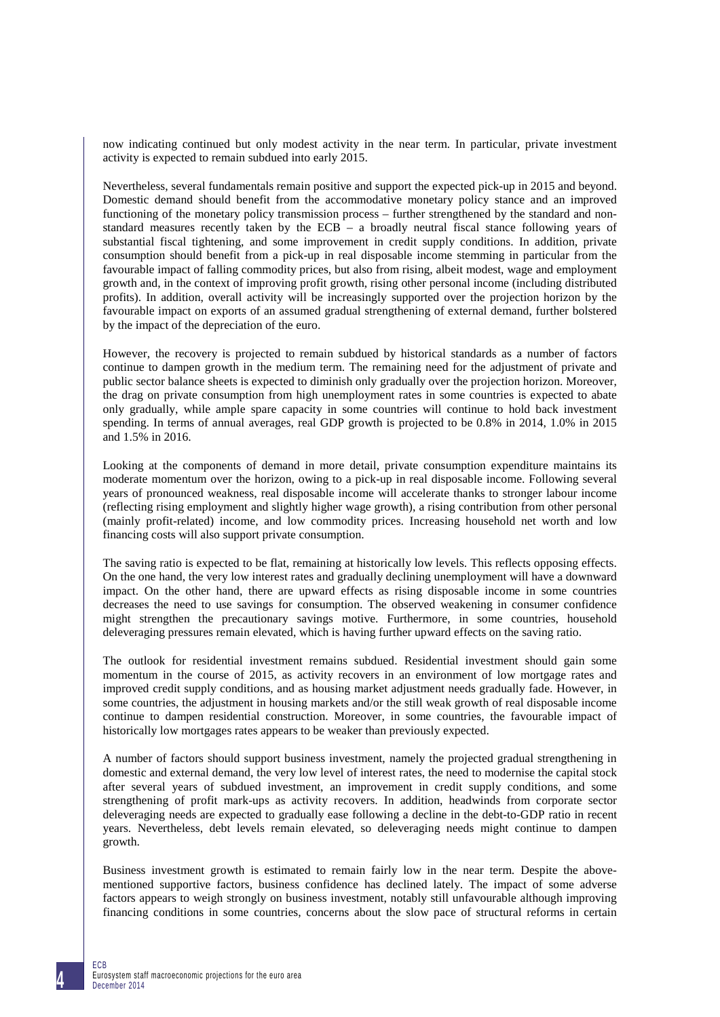now indicating continued but only modest activity in the near term. In particular, private investment activity is expected to remain subdued into early 2015.

Nevertheless, several fundamentals remain positive and support the expected pick-up in 2015 and beyond. Domestic demand should benefit from the accommodative monetary policy stance and an improved functioning of the monetary policy transmission process – further strengthened by the standard and nonstandard measures recently taken by the ECB – a broadly neutral fiscal stance following years of substantial fiscal tightening, and some improvement in credit supply conditions. In addition, private consumption should benefit from a pick-up in real disposable income stemming in particular from the favourable impact of falling commodity prices, but also from rising, albeit modest, wage and employment growth and, in the context of improving profit growth, rising other personal income (including distributed profits). In addition, overall activity will be increasingly supported over the projection horizon by the favourable impact on exports of an assumed gradual strengthening of external demand, further bolstered by the impact of the depreciation of the euro.

However, the recovery is projected to remain subdued by historical standards as a number of factors continue to dampen growth in the medium term. The remaining need for the adjustment of private and public sector balance sheets is expected to diminish only gradually over the projection horizon. Moreover, the drag on private consumption from high unemployment rates in some countries is expected to abate only gradually, while ample spare capacity in some countries will continue to hold back investment spending. In terms of annual averages, real GDP growth is projected to be 0.8% in 2014, 1.0% in 2015 and 1.5% in 2016.

Looking at the components of demand in more detail, private consumption expenditure maintains its moderate momentum over the horizon, owing to a pick-up in real disposable income. Following several years of pronounced weakness, real disposable income will accelerate thanks to stronger labour income (reflecting rising employment and slightly higher wage growth), a rising contribution from other personal (mainly profit-related) income, and low commodity prices. Increasing household net worth and low financing costs will also support private consumption.

The saving ratio is expected to be flat, remaining at historically low levels. This reflects opposing effects. On the one hand, the very low interest rates and gradually declining unemployment will have a downward impact. On the other hand, there are upward effects as rising disposable income in some countries decreases the need to use savings for consumption. The observed weakening in consumer confidence might strengthen the precautionary savings motive. Furthermore, in some countries, household deleveraging pressures remain elevated, which is having further upward effects on the saving ratio.

The outlook for residential investment remains subdued. Residential investment should gain some momentum in the course of 2015, as activity recovers in an environment of low mortgage rates and improved credit supply conditions, and as housing market adjustment needs gradually fade. However, in some countries, the adjustment in housing markets and/or the still weak growth of real disposable income continue to dampen residential construction. Moreover, in some countries, the favourable impact of historically low mortgages rates appears to be weaker than previously expected.

A number of factors should support business investment, namely the projected gradual strengthening in domestic and external demand, the very low level of interest rates, the need to modernise the capital stock after several years of subdued investment, an improvement in credit supply conditions, and some strengthening of profit mark-ups as activity recovers. In addition, headwinds from corporate sector deleveraging needs are expected to gradually ease following a decline in the debt-to-GDP ratio in recent years. Nevertheless, debt levels remain elevated, so deleveraging needs might continue to dampen growth.

Business investment growth is estimated to remain fairly low in the near term. Despite the abovementioned supportive factors, business confidence has declined lately. The impact of some adverse factors appears to weigh strongly on business investment, notably still unfavourable although improving financing conditions in some countries, concerns about the slow pace of structural reforms in certain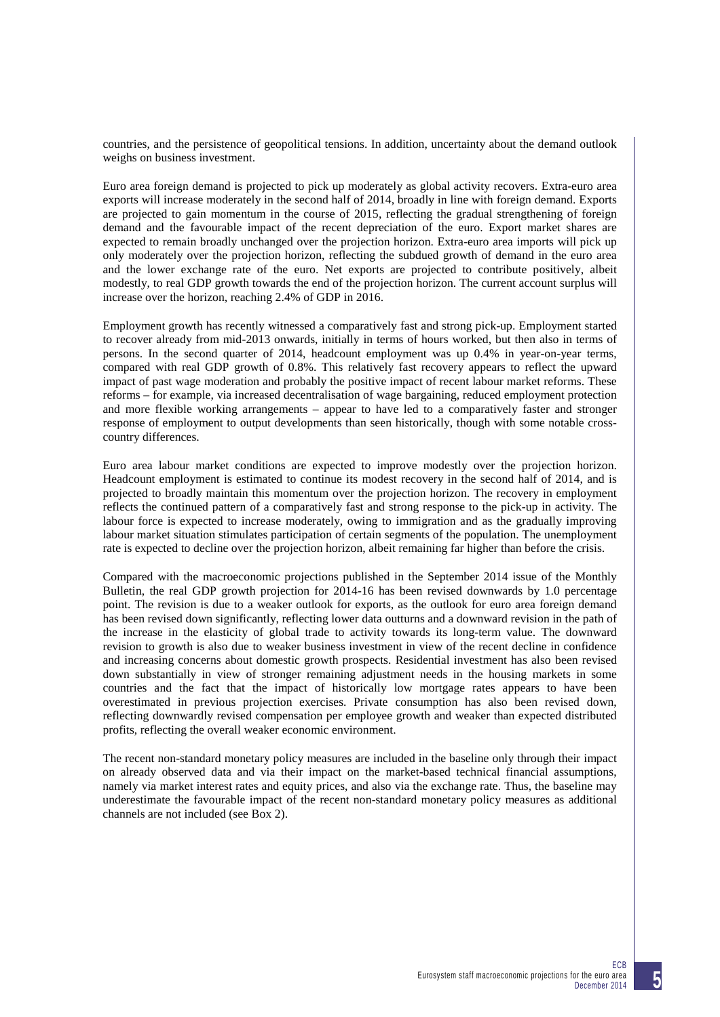countries, and the persistence of geopolitical tensions. In addition, uncertainty about the demand outlook weighs on business investment.

Euro area foreign demand is projected to pick up moderately as global activity recovers. Extra-euro area exports will increase moderately in the second half of 2014, broadly in line with foreign demand. Exports are projected to gain momentum in the course of 2015, reflecting the gradual strengthening of foreign demand and the favourable impact of the recent depreciation of the euro. Export market shares are expected to remain broadly unchanged over the projection horizon. Extra-euro area imports will pick up only moderately over the projection horizon, reflecting the subdued growth of demand in the euro area and the lower exchange rate of the euro. Net exports are projected to contribute positively, albeit modestly, to real GDP growth towards the end of the projection horizon. The current account surplus will increase over the horizon, reaching 2.4% of GDP in 2016.

Employment growth has recently witnessed a comparatively fast and strong pick-up. Employment started to recover already from mid-2013 onwards, initially in terms of hours worked, but then also in terms of persons. In the second quarter of 2014, headcount employment was up 0.4% in year-on-year terms, compared with real GDP growth of 0.8%. This relatively fast recovery appears to reflect the upward impact of past wage moderation and probably the positive impact of recent labour market reforms. These reforms – for example, via increased decentralisation of wage bargaining, reduced employment protection and more flexible working arrangements – appear to have led to a comparatively faster and stronger response of employment to output developments than seen historically, though with some notable crosscountry differences.

Euro area labour market conditions are expected to improve modestly over the projection horizon. Headcount employment is estimated to continue its modest recovery in the second half of 2014, and is projected to broadly maintain this momentum over the projection horizon. The recovery in employment reflects the continued pattern of a comparatively fast and strong response to the pick-up in activity. The labour force is expected to increase moderately, owing to immigration and as the gradually improving labour market situation stimulates participation of certain segments of the population. The unemployment rate is expected to decline over the projection horizon, albeit remaining far higher than before the crisis.

Compared with the macroeconomic projections published in the September 2014 issue of the Monthly Bulletin, the real GDP growth projection for 2014-16 has been revised downwards by 1.0 percentage point. The revision is due to a weaker outlook for exports, as the outlook for euro area foreign demand has been revised down significantly, reflecting lower data outturns and a downward revision in the path of the increase in the elasticity of global trade to activity towards its long-term value. The downward revision to growth is also due to weaker business investment in view of the recent decline in confidence and increasing concerns about domestic growth prospects. Residential investment has also been revised down substantially in view of stronger remaining adjustment needs in the housing markets in some countries and the fact that the impact of historically low mortgage rates appears to have been overestimated in previous projection exercises. Private consumption has also been revised down, reflecting downwardly revised compensation per employee growth and weaker than expected distributed profits, reflecting the overall weaker economic environment.

The recent non-standard monetary policy measures are included in the baseline only through their impact on already observed data and via their impact on the market-based technical financial assumptions, namely via market interest rates and equity prices, and also via the exchange rate. Thus, the baseline may underestimate the favourable impact of the recent non-standard monetary policy measures as additional channels are not included (see Box 2).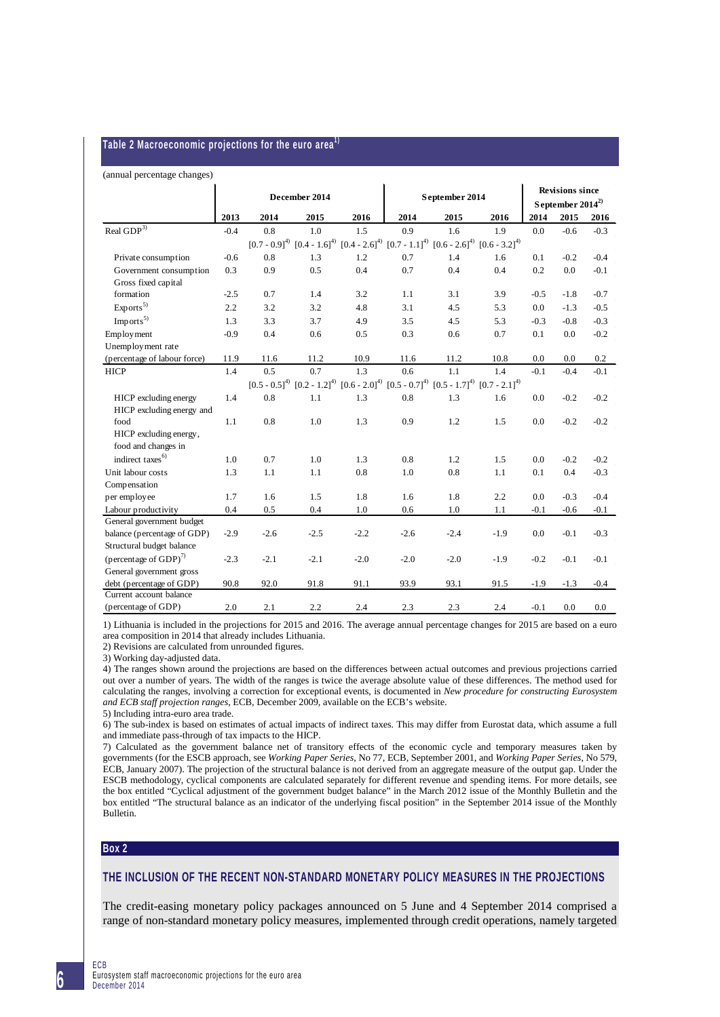#### **Table 2 Macroeconomic projections for the euro area1)**

#### (annual percentage changes)

|                                                       | December 2014 |        |        | September 2014 | <b>Revisions since</b><br>September $2014^{2}$                                                              |        |                   |        |        |        |
|-------------------------------------------------------|---------------|--------|--------|----------------|-------------------------------------------------------------------------------------------------------------|--------|-------------------|--------|--------|--------|
|                                                       | 2013          | 2014   | 2015   | 2016           | 2014                                                                                                        | 2015   | 2016              | 2014   | 2015   | 2016   |
| Real ${\rm GDP}^{3)}$                                 | $-0.4$        | 0.8    | 1.0    | 1.5            | 0.9                                                                                                         | 1.6    | 1.9               | 0.0    | $-0.6$ | $-0.3$ |
|                                                       |               |        |        |                | $[0.7 - 0.9]^{4}$ $[0.4 - 1.6]^{4}$ $[0.4 - 2.6]^{4}$ $[0.7 - 1.1]^{4}$ $[0.6 - 2.6]^{4}$ $[0.6 - 3.2]^{4}$ |        |                   |        |        |        |
| Private consumption                                   | $-0.6$        | 0.8    | 1.3    | 1.2            | 0.7                                                                                                         | 1.4    | 1.6               | 0.1    | $-0.2$ | $-0.4$ |
| Government consumption<br>Gross fixed capital         | 0.3           | 0.9    | 0.5    | 0.4            | 0.7                                                                                                         | 0.4    | 0.4               | 0.2    | 0.0    | $-0.1$ |
| formation                                             | $-2.5$        | 0.7    | 1.4    | 3.2            | 1.1                                                                                                         | 3.1    | 3.9               | $-0.5$ | $-1.8$ | $-0.7$ |
| Exports <sup>5</sup>                                  | 2.2           | 3.2    | 3.2    | 4.8            | 3.1                                                                                                         | 4.5    | 5.3               | 0.0    | $-1.3$ | $-0.5$ |
| Imports <sup>5</sup>                                  | 1.3           | 3.3    | 3.7    | 4.9            | 3.5                                                                                                         | 4.5    | 5.3               | $-0.3$ | $-0.8$ | $-0.3$ |
| Employment                                            | $-0.9$        | 0.4    | 0.6    | 0.5            | 0.3                                                                                                         | 0.6    | 0.7               | 0.1    | 0.0    | $-0.2$ |
| Unemployment rate                                     |               |        |        |                |                                                                                                             |        |                   |        |        |        |
| (percentage of labour force)                          | 11.9          | 11.6   | 11.2   | 10.9           | 11.6                                                                                                        | 11.2   | 10.8              | 0.0    | 0.0    | 0.2    |
| <b>HICP</b>                                           | 1.4           | 0.5    | 0.7    | 1.3            | $0.6^{\circ}$                                                                                               | 1.1    | 1.4               | $-0.1$ | $-0.4$ | $-0.1$ |
|                                                       |               |        |        |                | $[0.5 - 0.5]^{4}$ $[0.2 - 1.2]^{4}$ $[0.6 - 2.0]^{4}$ $[0.5 - 0.7]^{4}$ $[0.5 - 1.7]^{4}$                   |        | $[0.7 - 2.1]^{4}$ |        |        |        |
| HICP excluding energy<br>HICP excluding energy and    | 1.4           | 0.8    | 1.1    | 1.3            | 0.8                                                                                                         | 1.3    | 1.6               | 0.0    | $-0.2$ | $-0.2$ |
| food<br>HICP excluding energy,<br>food and changes in | 1.1           | 0.8    | 1.0    | 1.3            | 0.9                                                                                                         | 1.2    | 1.5               | 0.0    | $-0.2$ | $-0.2$ |
| indirect taxes <sup>6)</sup>                          | 1.0           | 0.7    | 1.0    | 1.3            | 0.8                                                                                                         | 1.2    | 1.5               | 0.0    | $-0.2$ | $-0.2$ |
| Unit labour costs                                     | 1.3           | 1.1    | 1.1    | 0.8            | 1.0                                                                                                         | 0.8    | 1.1               | 0.1    | 0.4    | $-0.3$ |
| Compensation                                          |               |        |        |                |                                                                                                             |        |                   |        |        |        |
| per employee                                          | 1.7           | 1.6    | 1.5    | 1.8            | 1.6                                                                                                         | 1.8    | 2.2               | 0.0    | $-0.3$ | $-0.4$ |
| Labour productivity                                   | 0.4           | 0.5    | 0.4    | 1.0            | 0.6                                                                                                         | 1.0    | 1.1               | $-0.1$ | $-0.6$ | $-0.1$ |
| General government budget                             |               |        |        |                |                                                                                                             |        |                   |        |        |        |
| balance (percentage of GDP)                           | $-2.9$        | $-2.6$ | $-2.5$ | $-2.2$         | $-2.6$                                                                                                      | $-2.4$ | $-1.9$            | 0.0    | $-0.1$ | $-0.3$ |
| Structural budget balance                             |               |        |        |                |                                                                                                             |        |                   |        |        |        |
| (percentage of GDP) <sup>7)</sup>                     | $-2.3$        | $-2.1$ | $-2.1$ | $-2.0$         | $-2.0$                                                                                                      | $-2.0$ | $-1.9$            | $-0.2$ | $-0.1$ | $-0.1$ |
| General government gross                              |               |        |        |                |                                                                                                             |        |                   |        |        |        |
| debt (percentage of GDP)                              | 90.8          | 92.0   | 91.8   | 91.1           | 93.9                                                                                                        | 93.1   | 91.5              | $-1.9$ | $-1.3$ | $-0.4$ |
| Current account balance                               |               |        |        |                |                                                                                                             |        |                   |        |        |        |
| (percentage of GDP)                                   | 2.0           | 2.1    | 2.2    | 2.4            | 2.3                                                                                                         | 2.3    | 2.4               | $-0.1$ | 0.0    | 0.0    |

1) Lithuania is included in the projections for 2015 and 2016. The average annual percentage changes for 2015 are based on a euro area composition in 2014 that already includes Lithuania.

2) Revisions are calculated from unrounded figures.

3) Working day-adjusted data.

4) The ranges shown around the projections are based on the differences between actual outcomes and previous projections carried out over a number of years. The width of the ranges is twice the average absolute value of these differences. The method used for calculating the ranges, involving a correction for exceptional events, is documented in *New procedure for constructing Eurosystem and ECB staff projection ranges*, ECB, December 2009, available on the ECB's website.

5) Including intra-euro area trade.

6) The sub-index is based on estimates of actual impacts of indirect taxes. This may differ from Eurostat data, which assume a full and immediate pass-through of tax impacts to the HICP.

7) Calculated as the government balance net of transitory effects of the economic cycle and temporary measures taken by governments (for the ESCB approach, see *Working Paper Series*, No 77, ECB, September 2001, and *Working Paper Series*, No 579, ECB, January 2007). The projection of the structural balance is not derived from an aggregate measure of the output gap. Under the ESCB methodology, cyclical components are calculated separately for different revenue and spending items. For more details, see the box entitled "Cyclical adjustment of the government budget balance" in the March 2012 issue of the Monthly Bulletin and the box entitled "The structural balance as an indicator of the underlying fiscal position" in the September 2014 issue of the Monthly Bulletin.

# **Box 2**

# **THE INCLUSION OF THE RECENT NON-STANDARD MONETARY POLICY MEASURES IN THE PROJECTIONS**

The credit-easing monetary policy packages announced on 5 June and 4 September 2014 comprised a range of non-standard monetary policy measures, implemented through credit operations, namely targeted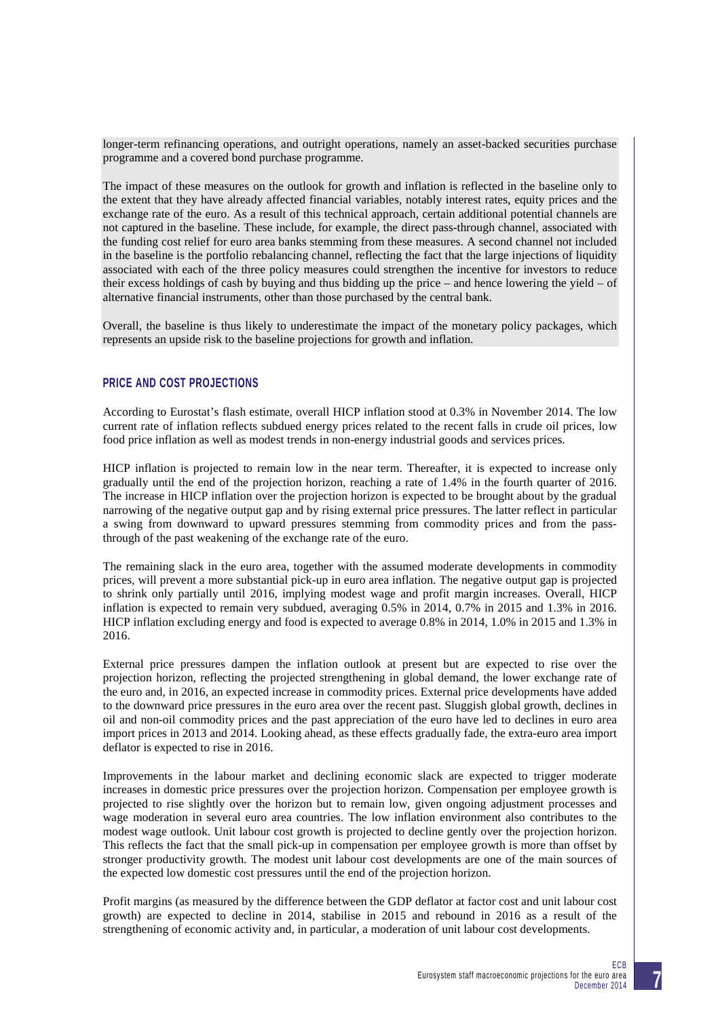longer-term refinancing operations, and outright operations, namely an asset-backed securities purchase programme and a covered bond purchase programme.

The impact of these measures on the outlook for growth and inflation is reflected in the baseline only to the extent that they have already affected financial variables, notably interest rates, equity prices and the exchange rate of the euro. As a result of this technical approach, certain additional potential channels are not captured in the baseline. These include, for example, the direct pass-through channel, associated with the funding cost relief for euro area banks stemming from these measures. A second channel not included in the baseline is the portfolio rebalancing channel, reflecting the fact that the large injections of liquidity associated with each of the three policy measures could strengthen the incentive for investors to reduce their excess holdings of cash by buying and thus bidding up the price – and hence lowering the yield – of alternative financial instruments, other than those purchased by the central bank.

Overall, the baseline is thus likely to underestimate the impact of the monetary policy packages, which represents an upside risk to the baseline projections for growth and inflation.

# **PRICE AND COST PROJECTIONS**

According to Eurostat's flash estimate, overall HICP inflation stood at 0.3% in November 2014. The low current rate of inflation reflects subdued energy prices related to the recent falls in crude oil prices, low food price inflation as well as modest trends in non-energy industrial goods and services prices.

HICP inflation is projected to remain low in the near term. Thereafter, it is expected to increase only gradually until the end of the projection horizon, reaching a rate of 1.4% in the fourth quarter of 2016. The increase in HICP inflation over the projection horizon is expected to be brought about by the gradual narrowing of the negative output gap and by rising external price pressures. The latter reflect in particular a swing from downward to upward pressures stemming from commodity prices and from the passthrough of the past weakening of the exchange rate of the euro.

The remaining slack in the euro area, together with the assumed moderate developments in commodity prices, will prevent a more substantial pick-up in euro area inflation. The negative output gap is projected to shrink only partially until 2016, implying modest wage and profit margin increases. Overall, HICP inflation is expected to remain very subdued, averaging 0.5% in 2014, 0.7% in 2015 and 1.3% in 2016. HICP inflation excluding energy and food is expected to average 0.8% in 2014, 1.0% in 2015 and 1.3% in 2016.

External price pressures dampen the inflation outlook at present but are expected to rise over the projection horizon, reflecting the projected strengthening in global demand, the lower exchange rate of the euro and, in 2016, an expected increase in commodity prices. External price developments have added to the downward price pressures in the euro area over the recent past. Sluggish global growth, declines in oil and non-oil commodity prices and the past appreciation of the euro have led to declines in euro area import prices in 2013 and 2014. Looking ahead, as these effects gradually fade, the extra-euro area import deflator is expected to rise in 2016.

Improvements in the labour market and declining economic slack are expected to trigger moderate increases in domestic price pressures over the projection horizon. Compensation per employee growth is projected to rise slightly over the horizon but to remain low, given ongoing adjustment processes and wage moderation in several euro area countries. The low inflation environment also contributes to the modest wage outlook. Unit labour cost growth is projected to decline gently over the projection horizon. This reflects the fact that the small pick-up in compensation per employee growth is more than offset by stronger productivity growth. The modest unit labour cost developments are one of the main sources of the expected low domestic cost pressures until the end of the projection horizon.

Profit margins (as measured by the difference between the GDP deflator at factor cost and unit labour cost growth) are expected to decline in 2014, stabilise in 2015 and rebound in 2016 as a result of the strengthening of economic activity and, in particular, a moderation of unit labour cost developments.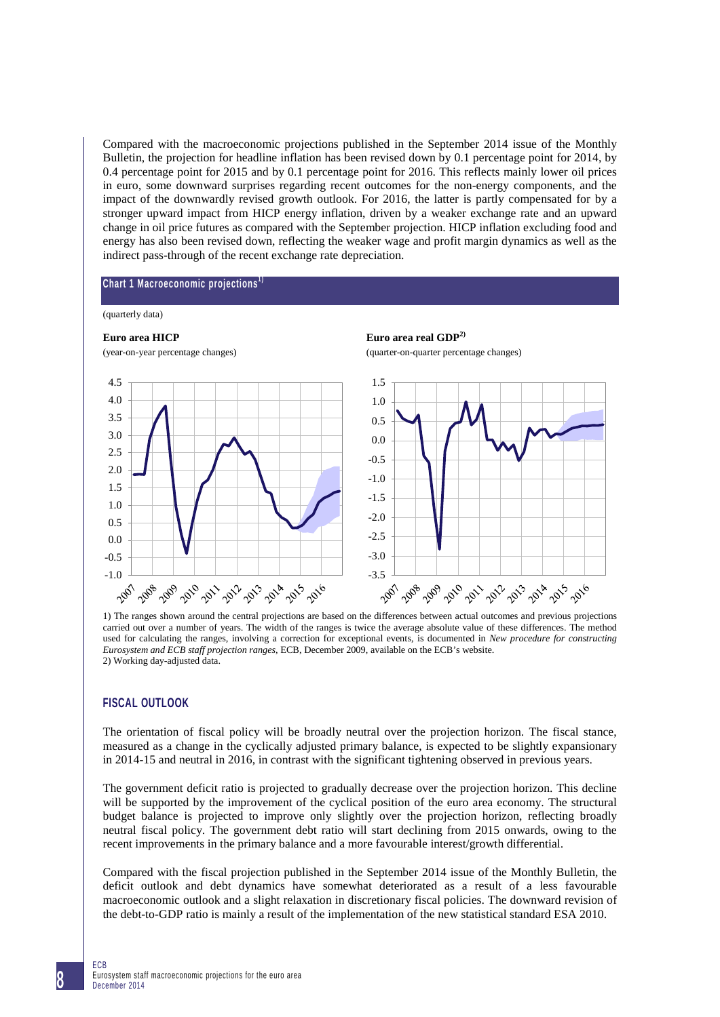Compared with the macroeconomic projections published in the September 2014 issue of the Monthly Bulletin, the projection for headline inflation has been revised down by 0.1 percentage point for 2014, by 0.4 percentage point for 2015 and by 0.1 percentage point for 2016. This reflects mainly lower oil prices in euro, some downward surprises regarding recent outcomes for the non-energy components, and the impact of the downwardly revised growth outlook. For 2016, the latter is partly compensated for by a stronger upward impact from HICP energy inflation, driven by a weaker exchange rate and an upward change in oil price futures as compared with the September projection. HICP inflation excluding food and energy has also been revised down, reflecting the weaker wage and profit margin dynamics as well as the indirect pass-through of the recent exchange rate depreciation.

## **Chart 1 Macroeconomic projections1 )**

#### (quarterly data)





1) The ranges shown around the central projections are based on the differences between actual outcomes and previous projections carried out over a number of years. The width of the ranges is twice the average absolute value of these differences. The method used for calculating the ranges, involving a correction for exceptional events, is documented in *New procedure for constructing Eurosystem and ECB staff projection ranges*, ECB, December 2009, available on the ECB's website. 2) Working day-adjusted data.

# **FISCAL OUTLOOK**

The orientation of fiscal policy will be broadly neutral over the projection horizon. The fiscal stance, measured as a change in the cyclically adjusted primary balance, is expected to be slightly expansionary in 2014-15 and neutral in 2016, in contrast with the significant tightening observed in previous years.

The government deficit ratio is projected to gradually decrease over the projection horizon. This decline will be supported by the improvement of the cyclical position of the euro area economy. The structural budget balance is projected to improve only slightly over the projection horizon, reflecting broadly neutral fiscal policy. The government debt ratio will start declining from 2015 onwards, owing to the recent improvements in the primary balance and a more favourable interest/growth differential.

Compared with the fiscal projection published in the September 2014 issue of the Monthly Bulletin, the deficit outlook and debt dynamics have somewhat deteriorated as a result of a less favourable macroeconomic outlook and a slight relaxation in discretionary fiscal policies. The downward revision of the debt-to-GDP ratio is mainly a result of the implementation of the new statistical standard ESA 2010.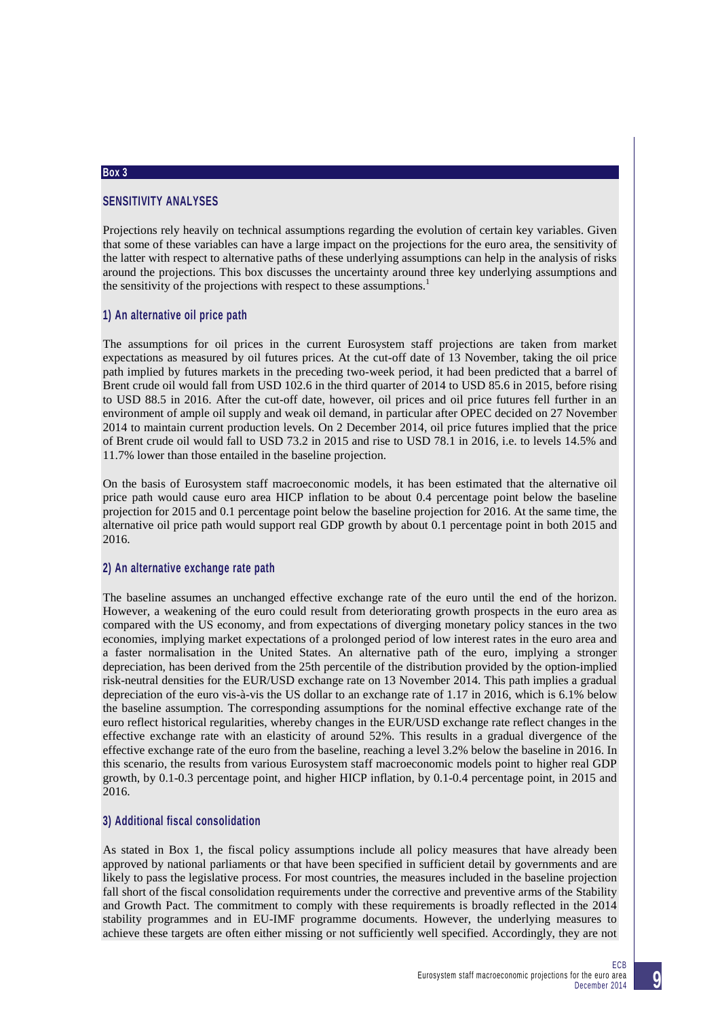## **Box 3**

# **SENSITIVITY ANALYSES**

Projections rely heavily on technical assumptions regarding the evolution of certain key variables. Given that some of these variables can have a large impact on the projections for the euro area, the sensitivity of the latter with respect to alternative paths of these underlying assumptions can help in the analysis of risks around the projections. This box discusses the uncertainty around three key underlying assumptions and the sensitivity of the projections with respect to these assumptions.<sup>1</sup>

# **1) An alternative oil price path**

The assumptions for oil prices in the current Eurosystem staff projections are taken from market expectations as measured by oil futures prices. At the cut-off date of 13 November, taking the oil price path implied by futures markets in the preceding two-week period, it had been predicted that a barrel of Brent crude oil would fall from USD 102.6 in the third quarter of 2014 to USD 85.6 in 2015, before rising to USD 88.5 in 2016. After the cut-off date, however, oil prices and oil price futures fell further in an environment of ample oil supply and weak oil demand, in particular after OPEC decided on 27 November 2014 to maintain current production levels. On 2 December 2014, oil price futures implied that the price of Brent crude oil would fall to USD 73.2 in 2015 and rise to USD 78.1 in 2016, i.e. to levels 14.5% and 11.7% lower than those entailed in the baseline projection.

On the basis of Eurosystem staff macroeconomic models, it has been estimated that the alternative oil price path would cause euro area HICP inflation to be about 0.4 percentage point below the baseline projection for 2015 and 0.1 percentage point below the baseline projection for 2016. At the same time, the alternative oil price path would support real GDP growth by about 0.1 percentage point in both 2015 and 2016.

# **2) An alternative exchange rate path**

The baseline assumes an unchanged effective exchange rate of the euro until the end of the horizon. However, a weakening of the euro could result from deteriorating growth prospects in the euro area as compared with the US economy, and from expectations of diverging monetary policy stances in the two economies, implying market expectations of a prolonged period of low interest rates in the euro area and a faster normalisation in the United States. An alternative path of the euro, implying a stronger depreciation, has been derived from the 25th percentile of the distribution provided by the option-implied risk-neutral densities for the EUR/USD exchange rate on 13 November 2014. This path implies a gradual depreciation of the euro vis-à-vis the US dollar to an exchange rate of 1.17 in 2016, which is 6.1% below the baseline assumption. The corresponding assumptions for the nominal effective exchange rate of the euro reflect historical regularities, whereby changes in the EUR/USD exchange rate reflect changes in the effective exchange rate with an elasticity of around 52%. This results in a gradual divergence of the effective exchange rate of the euro from the baseline, reaching a level 3.2% below the baseline in 2016. In this scenario, the results from various Eurosystem staff macroeconomic models point to higher real GDP growth, by 0.1-0.3 percentage point, and higher HICP inflation, by 0.1-0.4 percentage point, in 2015 and 2016.

# **3) Additional fiscal consolidation**

As stated in Box 1, the fiscal policy assumptions include all policy measures that have already been approved by national parliaments or that have been specified in sufficient detail by governments and are likely to pass the legislative process. For most countries, the measures included in the baseline projection fall short of the fiscal consolidation requirements under the corrective and preventive arms of the Stability and Growth Pact. The commitment to comply with these requirements is broadly reflected in the 2014 stability programmes and in EU-IMF programme documents. However, the underlying measures to achieve these targets are often either missing or not sufficiently well specified. Accordingly, they are not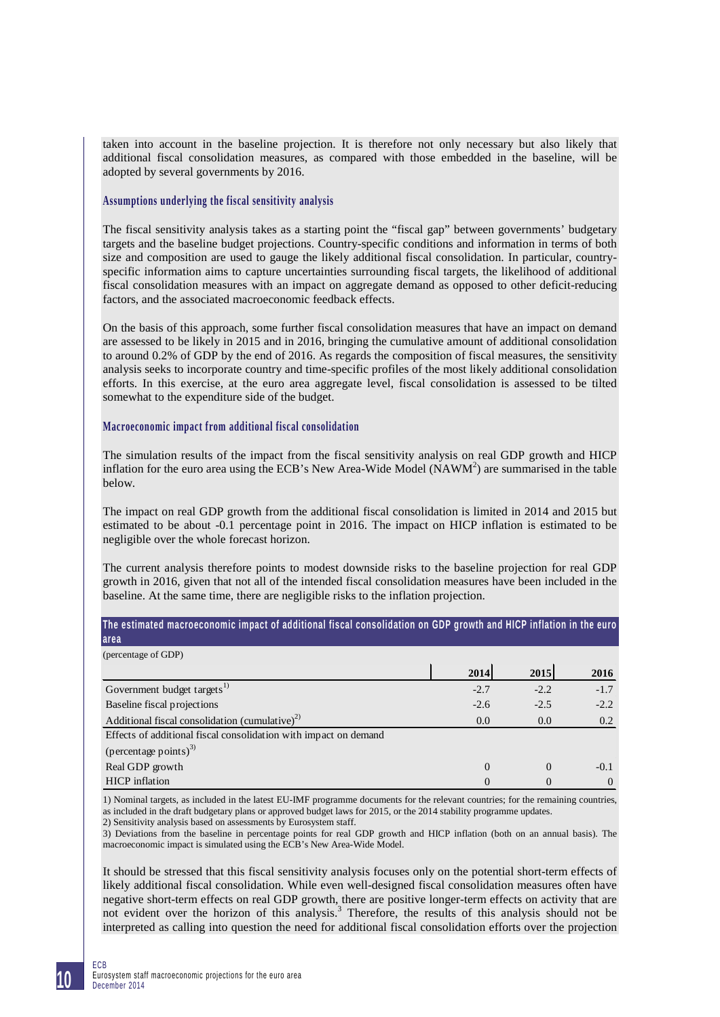taken into account in the baseline projection. It is therefore not only necessary but also likely that additional fiscal consolidation measures, as compared with those embedded in the baseline, will be adopted by several governments by 2016.

# **Assumptions underlying the fiscal sensitivity analysis**

The fiscal sensitivity analysis takes as a starting point the "fiscal gap" between governments' budgetary targets and the baseline budget projections. Country-specific conditions and information in terms of both size and composition are used to gauge the likely additional fiscal consolidation. In particular, countryspecific information aims to capture uncertainties surrounding fiscal targets, the likelihood of additional fiscal consolidation measures with an impact on aggregate demand as opposed to other deficit-reducing factors, and the associated macroeconomic feedback effects.

On the basis of this approach, some further fiscal consolidation measures that have an impact on demand are assessed to be likely in 2015 and in 2016, bringing the cumulative amount of additional consolidation to around 0.2% of GDP by the end of 2016. As regards the composition of fiscal measures, the sensitivity analysis seeks to incorporate country and time-specific profiles of the most likely additional consolidation efforts. In this exercise, at the euro area aggregate level, fiscal consolidation is assessed to be tilted somewhat to the expenditure side of the budget.

### **Macroeconomic impact from additional fiscal consolidation**

The simulation results of the impact from the fiscal sensitivity analysis on real GDP growth and HICP inflation for the euro area using the ECB's New Area-Wide Model ( $NAWM<sup>2</sup>$ ) are summarised in the table below.

The impact on real GDP growth from the additional fiscal consolidation is limited in 2014 and 2015 but estimated to be about -0.1 percentage point in 2016. The impact on HICP inflation is estimated to be negligible over the whole forecast horizon.

The current analysis therefore points to modest downside risks to the baseline projection for real GDP growth in 2016, given that not all of the intended fiscal consolidation measures have been included in the baseline. At the same time, there are negligible risks to the inflation projection.

| The estimated macroeconomic impact of additional fiscal consolidation on GDP growth and HIGP inflation in the euro<br><b>area</b> |          |          |          |
|-----------------------------------------------------------------------------------------------------------------------------------|----------|----------|----------|
| (percentage of GDP)                                                                                                               |          |          |          |
|                                                                                                                                   | 2014     | 2015     | 2016     |
| Government budget targets <sup>1)</sup>                                                                                           | $-2.7$   | $-2.2$   | $-1.7$   |
| Baseline fiscal projections                                                                                                       | $-2.6$   | $-2.5$   | $-2.2$   |
| Additional fiscal consolidation (cumulative) <sup>2)</sup>                                                                        | 0.0      | 0.0      | 0.2      |
| Effects of additional fiscal consolidation with impact on demand                                                                  |          |          |          |
| (percentage points) <sup>3)</sup>                                                                                                 |          |          |          |
| Real GDP growth                                                                                                                   | $\Omega$ | $\Omega$ | $-0.1$   |
| <b>HICP</b> inflation                                                                                                             | 0        | $\Omega$ | $\Omega$ |

1) Nominal targets, as included in the latest EU-IMF programme documents for the relevant countries; for the remaining countries, as included in the draft budgetary plans or approved budget laws for 2015, or the 2014 stability programme updates. 2) Sensitivity analysis based on assessments by Eurosystem staff.

3) Deviations from the baseline in percentage points for real GDP growth and HICP inflation (both on an annual basis). The macroeconomic impact is simulated using the ECB's New Area-Wide Model.

It should be stressed that this fiscal sensitivity analysis focuses only on the potential short-term effects of likely additional fiscal consolidation. While even well-designed fiscal consolidation measures often have negative short-term effects on real GDP growth, there are positive longer-term effects on activity that are not evident over the horizon of this analysis.<sup>3</sup> Therefore, the results of this analysis should not be interpreted as calling into question the need for additional fiscal consolidation efforts over the projection

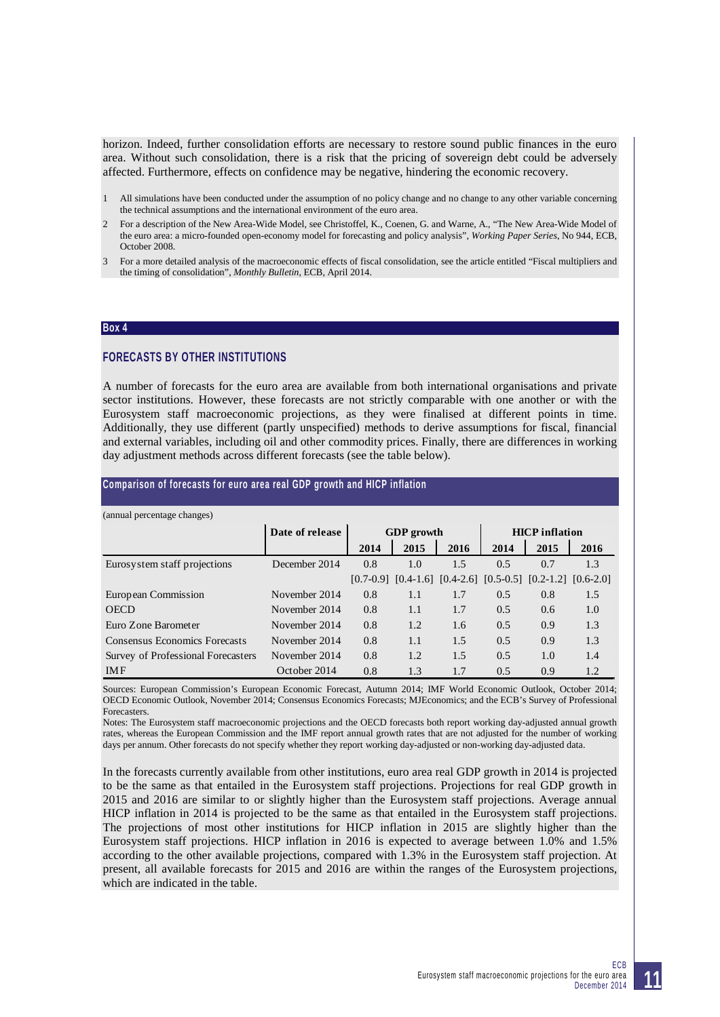horizon. Indeed, further consolidation efforts are necessary to restore sound public finances in the euro area. Without such consolidation, there is a risk that the pricing of sovereign debt could be adversely affected. Furthermore, effects on confidence may be negative, hindering the economic recovery.

- 1 All simulations have been conducted under the assumption of no policy change and no change to any other variable concerning the technical assumptions and the international environment of the euro area.
- 2 For a description of the New Area-Wide Model, see Christoffel, K., Coenen, G. and Warne, A., "The New Area-Wide Model of the euro area: a micro-founded open-economy model for forecasting and policy analysis", *Working Paper Series*, No 944, ECB, October 2008.
- 3 For a more detailed analysis of the macroeconomic effects of fiscal consolidation, see the article entitled "Fiscal multipliers and the timing of consolidation", *Monthly Bulletin*, ECB, April 2014.

#### **Box 4**

# **FORECASTS BY OTHER INSTITUTIONS**

A number of forecasts for the euro area are available from both international organisations and private sector institutions. However, these forecasts are not strictly comparable with one another or with the Eurosystem staff macroeconomic projections, as they were finalised at different points in time. Additionally, they use different (partly unspecified) methods to derive assumptions for fiscal, financial and external variables, including oil and other commodity prices. Finally, there are differences in working day adjustment methods across different forecasts (see the table below).

#### **Comparison of forecasts for euro area real GDP growth and HICP inflation**

| (annual percentage changes)        |                 |      |                   |      |                       |                                                                         |      |
|------------------------------------|-----------------|------|-------------------|------|-----------------------|-------------------------------------------------------------------------|------|
|                                    | Date of release |      | <b>GDP</b> growth |      | <b>HICP</b> inflation |                                                                         |      |
|                                    |                 | 2014 | 2015              | 2016 | 2014                  | 2015                                                                    | 2016 |
| Eurosy stem staff projections      | December 2014   | 0.8  | 1.0               | 1.5  | 0.5                   | 0.7                                                                     | 1.3  |
|                                    |                 |      |                   |      |                       | $[0.7-0.9]$ $[0.4-1.6]$ $[0.4-2.6]$ $[0.5-0.5]$ $[0.2-1.2]$ $[0.6-2.0]$ |      |
| European Commission                | November 2014   | 0.8  | 1.1               | 1.7  | 0.5                   | 0.8                                                                     | 1.5  |
| <b>OECD</b>                        | November 2014   | 0.8  | 1.1               | 1.7  | 0.5                   | 0.6                                                                     | 1.0  |
| Euro Zone Barometer                | November 2014   | 0.8  | 1.2               | 1.6  | 0.5                   | 0.9                                                                     | 1.3  |
| Consensus Economics Forecasts      | November 2014   | 0.8  | 1.1               | 1.5  | 0.5                   | 0.9                                                                     | 1.3  |
| Survey of Professional Forecasters | November 2014   | 0.8  | 1.2               | 1.5  | 0.5                   | 1.0                                                                     | 1.4  |
| <b>IMF</b>                         | October 2014    | 0.8  | 1.3               | 1.7  | 0.5                   | 0.9                                                                     | 1.2  |

#### (annual percentage changes)

Sources: European Commission's European Economic Forecast, Autumn 2014; IMF World Economic Outlook, October 2014; OECD Economic Outlook, November 2014; Consensus Economics Forecasts; MJEconomics; and the ECB's Survey of Professional Forecasters.

Notes: The Eurosystem staff macroeconomic projections and the OECD forecasts both report working day-adjusted annual growth rates, whereas the European Commission and the IMF report annual growth rates that are not adjusted for the number of working days per annum. Other forecasts do not specify whether they report working day-adjusted or non-working day-adjusted data.

In the forecasts currently available from other institutions, euro area real GDP growth in 2014 is projected to be the same as that entailed in the Eurosystem staff projections. Projections for real GDP growth in 2015 and 2016 are similar to or slightly higher than the Eurosystem staff projections. Average annual HICP inflation in 2014 is projected to be the same as that entailed in the Eurosystem staff projections. The projections of most other institutions for HICP inflation in 2015 are slightly higher than the Eurosystem staff projections. HICP inflation in 2016 is expected to average between 1.0% and 1.5% according to the other available projections, compared with 1.3% in the Eurosystem staff projection. At present, all available forecasts for 2015 and 2016 are within the ranges of the Eurosystem projections, which are indicated in the table.